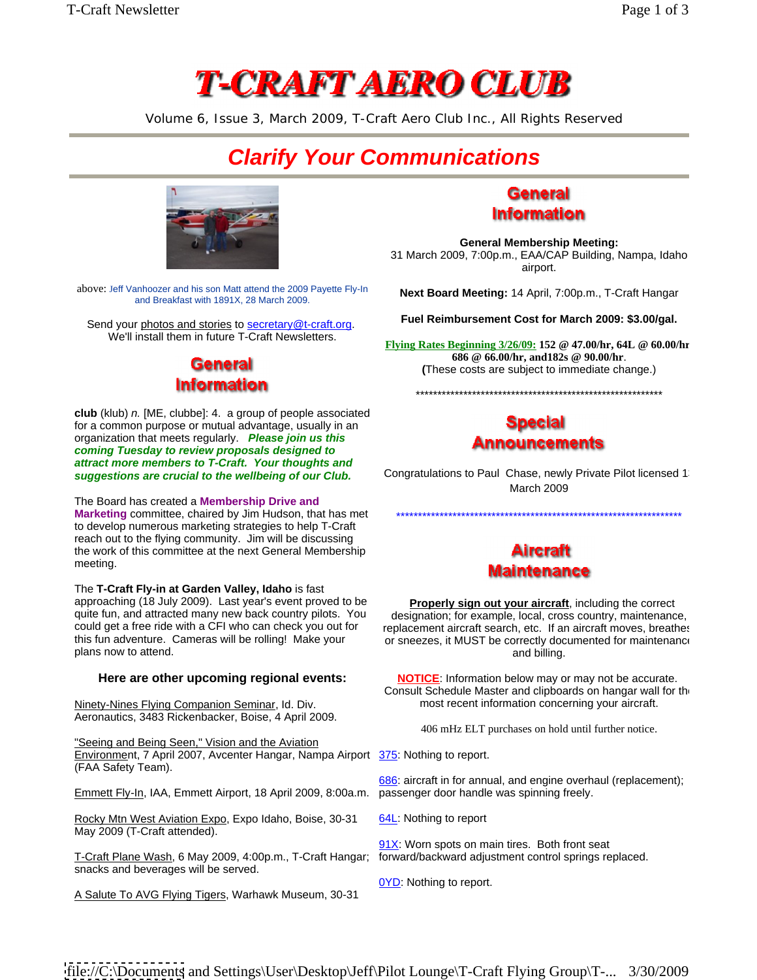# **T-CRAFT AERO CLUB**

Volume 6, Issue 3, March 2009, T-Craft Aero Club Inc., All Rights Reserved

## **Clarify Your Communications**



above: Jeff Vanhoozer and his son Matt attend the 2009 Payette Fly-In and Breakfast with 1891X, 28 March 2009.

Send your photos and stories to secretary@t-craft.org.<br>We'll install them in future T-Craft Newsletters.

### **General Information**

**club** (klub) *n.* [ME, clubbe]: 4. a group of people associated<br>for a common purpose or mutual advantage, usually in an for a common purpose or mutual advantage, usually in an organization that meets regularly. **Please join us this coming Tuesday to review proposals designed to attract more members to T-Craft. Your thoughts and** 

The Board has created a **Membership Drive and Marketing** committee, chaired by Jim Hudson, that has met to develop numerous marketing strategies to help T-Craft reach out to the flying community. Jim will be discussing<br>
the work of this committee at the next General Membership the work of this committee at the next General Membership meeting. The contract of the contract of the contract of the contract of the contract of the contract of the contract of the contract of the contract of the contract of the contract of the contract of the contract of the c

The **T-Craft Fly-in at Garden Valley, Idaho** is fast approaching (18 July 2009). Last year's event proved to be quite fun, and attracted many new back country pilots. You could get a free ride with a CFI who can check you out for plans now to attend. The contract of the contract of the contract of the contract of the contract of the contract of the contract of the contract of the contract of the contract of the contract of the contract of the contr

Ninety-Nines Flying Companion Seminar, Id. Div. Aeronautics, 3483 Rickenbacker, Boise, 4 April 2009.

"Seeing and Being Seen," Vision and the Aviation Environment, 7 April 2007, Avcenter Hangar, Nampa Airport 375: Nothing to report. (FAA Safety Team).

Emmett Fly-In, IAA, Emmett Airport, 18 April 2009, 8:00a.m.

Rocky Mtn West Aviation Expo, Expo Idaho, Boise, 30-31 May 2009 (T-Craft attended).

T-Craft Plane Wash, 6 May 2009, 4:00p.m., T-Craft Hangar; snacks and beverages will be served.

A Salute To AVG Flying Tigers, Warhawk Museum, 30-31

### General **Information**

**General Membership Meeting:** 31 March 2009, 7:00p.m., EAA/CAP Building, Nampa, Idaho airport.

**Next Board Meeting:** 14 April, 7:00p.m., T-Craft Hangar

**Fuel Reimbursement Cost for March 2009: \$3.00/gal.**

**Flying Rates Beginning 3/26/09: 152 @ 47.00/hr, 64L @ 60.00/hr, 686 @ 66.00/hr, and182s @ 90.00/hr**. **(**These costs are subject to immediate change.)

\*\*\*\*\*\*\*\*\*\*\*\*\*\*\*\*\*\*\*\*\*\*\*\*\*\*\*\*\*\*\*\*\*\*\*\*\*\*\*\*\*\*\*\*\*\*\*\*\*\*\*\*\*\*\*\*\*



**suggestions are crucial to the wellbeing of our Club.** Congratulations to Paul Chase, newly<br>March 2009 Congratulations to Paul Chase, newly Private Pilot licensed 13 March 2009 **March** 2009 **March** 2009

\*\*\*\*\*\*\*\*\*\*\*\*\*\*\*\*\*\*\*\*\*\*\*\*\*\*\*\*\*\*\*\*\*\*\*\*\*\*\*\*\*\*\*\*\*\*\*\*\*\*\*\*\*\*\*\*\*\*\*\*\*\*\*\*\*\*



could get a free ride with a CFI who can check you out for creplacement aircraft search, etc. If an aircraft moves, breathes this fun adventure. Cameras will be rolling! Make your or sneezes, it MUST be correctly documented for maintenance **Properly sign out your aircraft**, including the correct designation; for example, local, cross country, maintenance, and billing.

**Here are other upcoming regional events: NOTICE:** Information below may or may not be accurate. Consult Schedule Master and clipboards on hangar wall for the most recent information concerning your aircraft.

406 mHz ELT purchases on hold until further notice.

686: aircraft in for annual, and engine overhaul (replacement); passenger door handle was spinning freely.

64L: Nothing to report

91X: Worn spots on main tires. Both front seat forward/backward adjustment control springs replaced.

0YD: Nothing to report.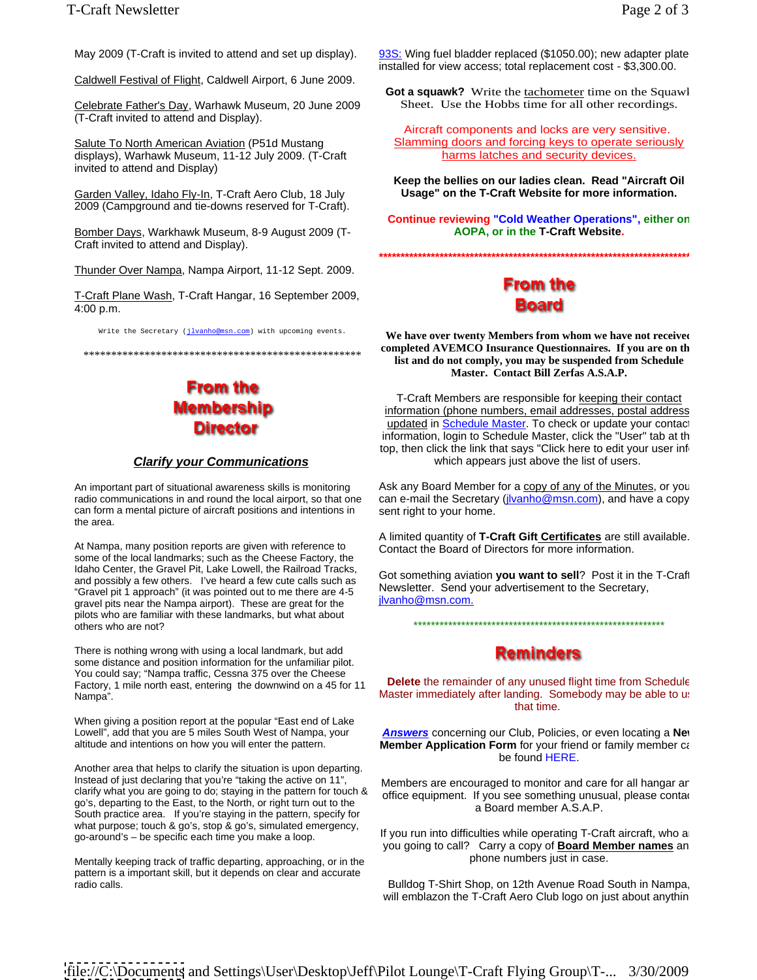Caldwell Festival of Flight, Caldwell Airport, 6 June 2009.

Celebrate Father's Day, Warhawk Museum, 20 June 2009 (T-Craft invited to attend and Display).

displays), Warhawk Museum, 11-12 July 2009. (T-Craft invited to attend and Display)

Garden Valley, Idaho Fly-In, T-Craft Aero Club, 18 July 2009 (Campground and tie-downs reserved for T-Craft).

Bomber Days, Warkhawk Museum, 8-9 August 2009 (T- Craft invited to attend and Display).

Thunder Over Nampa, Nampa Airport, 11-12 Sept. 2009.

T-Craft Plane Wash, T-Craft Hangar, 16 September 2009, **The State of the September 2009**,<br><u>4:00 p.m.</u> **Board** 4:00 p.m. **Example 20:00 p.m. Example 20:00 p.m. 20:00 p.m. Example 20:00 p.m.** 

Write the Secretary ( $j$ lvanho@msn.com) with upcoming events.

### **From the Membership Director**

can form a mental picture of aircraft positions and intentions in the area. The state of the state of the state of the state of the state of the state of the state of the state of the state of the state of the state of the state of the state of the state of the state of the state of the

At Nampa, many position reports are given with reference to some of the local landmarks; such as the Cheese Factory, the Idaho Center, the Gravel Pit, Lake Lowell, the Railroad Tracks, and possibly a few others. I've heard a few cute calls such as "Gravel pit 1 approach" (it was pointed out to me there are 4-5 gravel pits near the Nampa airport). These are great for the pilots who are familiar with these landmarks, but what about<br>
at the second contract of the second of the second of the second of the second of the second of the second of the second of the second of the second of the seco others who are not?

There is nothing wrong with using a local landmark, but add<br> **Reminders** some distance and position information for the unfamiliar pilot. You could say; "Nampa traffic, Cessna 375 over the Cheese Factory, 1 mile north east, entering the downwind on a 45 for 11

Another area that helps to clarify the situation is upon departing. Instead of just declaring that you're "taking the active on 11", Members are encouraged to monitor and care for all hangar an<br>clarify what you are going to do; staying in the pattern for touch & continent of the production go's, departing to the East, to the North, or right turn out to the South practice area. If you're staying in the pattern, specify for what purpose; touch & go's, stop & go's, simulated emergency, go-around's – be specific each time you make a loop.

Mentally keeping track of traffic departing, approaching, or in the pattern is a important skill, but it depends on clear and accurate

May 2009 (T-Craft is invited to attend and set up display). 93S: Wing fuel bladder replaced (\$1050.00); new adapter plate installed for view access; total replacement cost - \$3,300.00.

> **Got a squawk?** Write the tachometer time on the Squawl Sheet. Use the Hobbs time for all other recordings.

Salute To North American Aviation (P51d Mustang Salamming doors and forcing keys to operate seriously Aircraft components and locks are very sensitive. harms latches and security devices.

> **Keep the bellies on our ladies clean. Read "Aircraft Oil Usage" on the T-Craft Website for more information.**

**Continue reviewing "Cold Weather Operations", either on AOPA, or in the T-Craft Website.**

**\*\*\*\*\*\*\*\*\*\*\*\*\*\*\*\*\*\*\*\*\*\*\*\*\*\*\*\*\*\*\*\*\*\*\*\*\*\*\*\*\*\*\*\*\*\*\*\*\*\*\*\*\*\*\*\*\*\*\*\*\*\*\*\*\*\*\*\*\*\*\*\*\*\***

\*\*\*\*\*\*\*\*\*\*\*\*\*\*\*\*\*\*\*\*\*\*\*\*\*\*\*\*\*\*\*\*\*\*\*\*\*\*\*\*\*\*\*\*\*\*\*\*\*\* **list and do not comply, you may be suspended from Schedule**  We have over twenty Members from whom we have not received completed AVEMCO Insurance Questionnaires. If you are on th **Master. Contact Bill Zerfas A.S.A.P.**

**Clarify your Communications Example 3** which appears just above the list of users. T-Craft Members are responsible for keeping their contact information (phone numbers, email addresses, postal address) updated in Schedule Master</u>. To check or update your contact information, login to Schedule Master, click the "User" tab at th top, then click the link that says "Click here to edit your user info

An important part of situational awareness skills is monitoring Ask any Board Member for a copy of any of the Minutes, or you radio communications in and round the local airport, so that one can e-mail the Secretary (j<u>lvanho@msn.com</u>), and have a copy which appears just above the list of users.<br>Ask any Board Member for a <u>copy of any of the Minutes</u>, or you sent right to your home.

> A limited quantity of **T-Craft Gift Certificates** are still available. Contact the Board of Directors for more information.

> Got something aviation **you want to sell**? Post it in the T-Craft Newsletter. Send your advertisement to the Secretary, jlvanho@msn.com.

> > \*\*\*\*\*\*\*\*\*\*\*\*\*\*\*\*\*\*\*\*\*\*\*\*\*\*\*\*\*\*\*\*\*\*\*\*\*\*\*\*\*\*\*\*\*\*\*\*\*\*\*\*\*\*\*\*\*\*

Nampa".<br>When giving a position report at the popular "East end of Lake and of the state inmediately after landing.<br>When giving a position report at the popular "East end of Lake and the state of the time. **Delete** the remainder of any unused flight time from Schedule Master immediately after landing. Somebody may be able to use that time. The contract of the contract of the contract of the contract of the contract of the contract of the contract of the contract of the contract of the contract of the contract of the contract of the contract of the

Lowell", add that you are 5 miles South West of Nampa, your **Answers** concerning our Club, Policies, or even locating a **New** altitude and intentions on how you will enter the pattern. **Member Application Form** for your friend or family member cannicle to be found HERE. The state of the state of the state of the state of the state of the state of the state of the state of the state of the state of the state of the state of the state of the state of the state of the state of

> office equipment. If you see something unusual, please contact a Board member A.S.A.P.

> If you run into difficulties while operating T-Craft aircraft, who a you going to call? Carry a copy of **Board Member names** an phone numbers just in case.

radio calls. Bulldog T-Shirt Shop, on 12th Avenue Road South in Nampa, will emblazon the T-Craft Aero Club logo on just about anythin